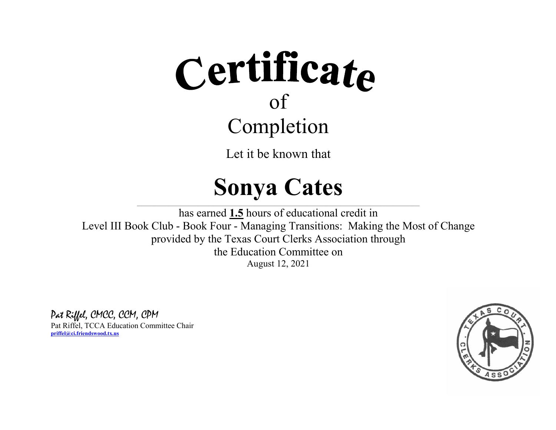# Certificate Completion

Let it be known that

#### **Sonya Cates**

 $\_$  , and the state of the state of the state of the state of the state of the state of the state of the state of the state of the state of the state of the state of the state of the state of the state of the state of the has earned **1.5** hours of educational credit in Level III Book Club - Book Four - Managing Transitions: Making the Most of Change provided by the Texas Court Clerks Association through the Education Committee on August 12, 2021

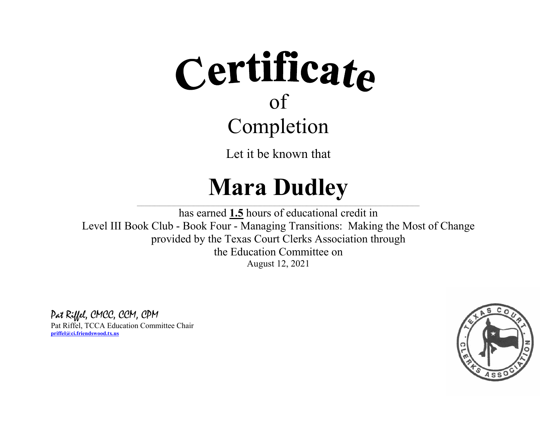# Certificate Completion

Let it be known that

### **Mara Dudley**

 $\_$  , and the state of the state of the state of the state of the state of the state of the state of the state of the state of the state of the state of the state of the state of the state of the state of the state of the has earned **1.5** hours of educational credit in Level III Book Club - Book Four - Managing Transitions: Making the Most of Change provided by the Texas Court Clerks Association through the Education Committee on August 12, 2021

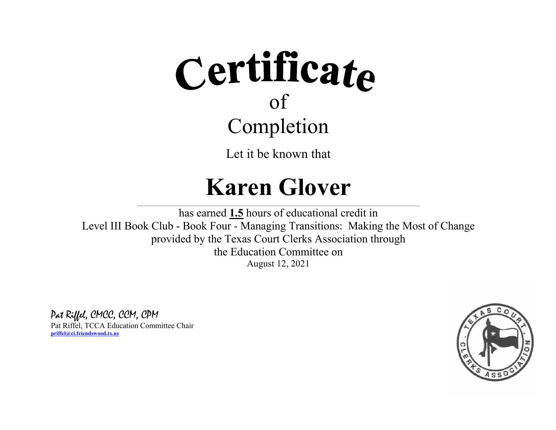### Certificate of Completion

Let it be known that

#### **Karen Glover**

 $\_$  , and the state of the state of the state of the state of the state of the state of the state of the state of the state of the state of the state of the state of the state of the state of the state of the state of the has earned **1.5** hours of educational credit in Level III Book Club - Book Four - Managing Transitions: Making the Most of Change provided by the Texas Court Clerks Association through the Education Committee on August 12, 2021

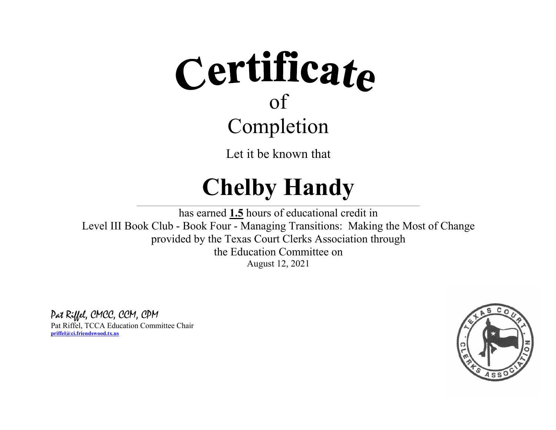# Certificate Completion

Let it be known that

### **Chelby Handy**

 $\_$  , and the state of the state of the state of the state of the state of the state of the state of the state of the state of the state of the state of the state of the state of the state of the state of the state of the has earned **1.5** hours of educational credit in Level III Book Club - Book Four - Managing Transitions: Making the Most of Change provided by the Texas Court Clerks Association through the Education Committee on August 12, 2021

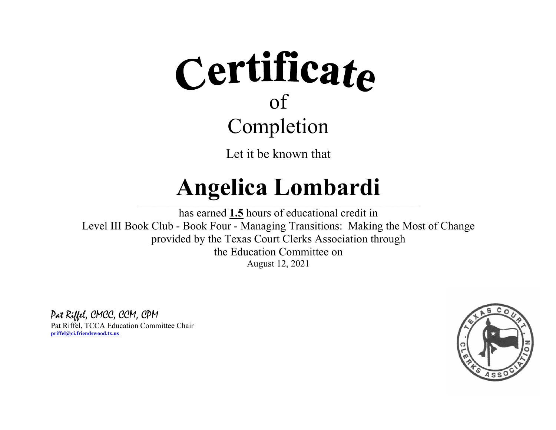

#### **Angelica Lombardi**  $\_$  , and the state of the state of the state of the state of the state of the state of the state of the state of the state of the state of the state of the state of the state of the state of the state of the state of the

has earned **1.5** hours of educational credit in Level III Book Club - Book Four - Managing Transitions: Making the Most of Change provided by the Texas Court Clerks Association through the Education Committee on August 12, 2021

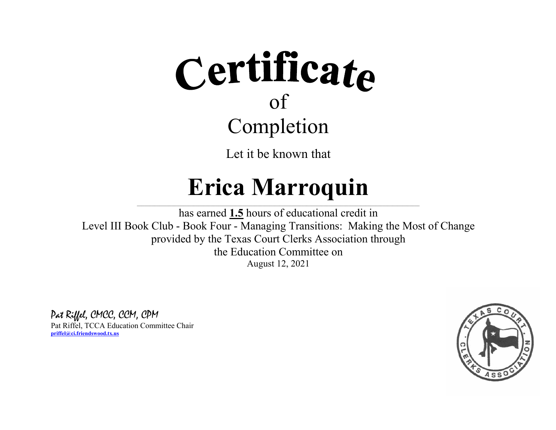

#### **Erica Marroquin**

 $\_$  , and the state of the state of the state of the state of the state of the state of the state of the state of the state of the state of the state of the state of the state of the state of the state of the state of the has earned **1.5** hours of educational credit in Level III Book Club - Book Four - Managing Transitions: Making the Most of Change provided by the Texas Court Clerks Association through the Education Committee on August 12, 2021

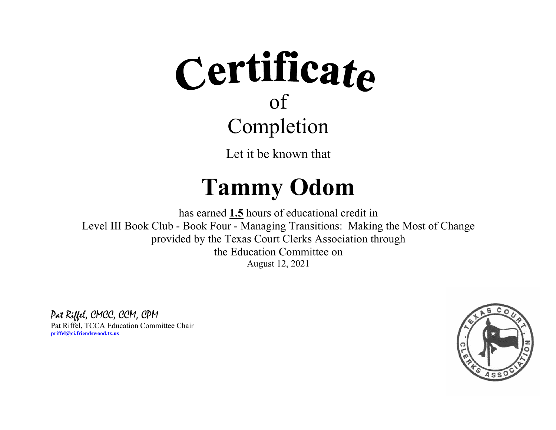

#### **TammyOdom**

\_\_\_\_\_\_\_\_\_\_\_\_\_\_\_\_\_\_\_\_\_\_\_\_\_\_\_\_\_\_\_\_\_\_\_\_\_\_\_\_\_\_\_\_\_\_\_\_\_  $\mathcal{L}=\mathcal{L}^{\mathcal{L}}$  , where  $\mathcal{L}^{\mathcal{L}}$  , we have the set of the set of the set of the set of the set of the set of the set of the set of the set of the set of the set of the set of the set of the set of the set of  $\mathcal{L}_\text{max} = \mathcal{L}_\text{max} = \mathcal{L}_\text{max} = \mathcal{L}_\text{max} = \mathcal{L}_\text{max} = \mathcal{L}_\text{max} = \mathcal{L}_\text{max}$ has earned **1.5** hours of educational credit in Level III Book Club - Book Four - Managing Transitions: Making the Most of Change provided by the Texas Court Clerks Association through the Education Committee on August 12, 2021

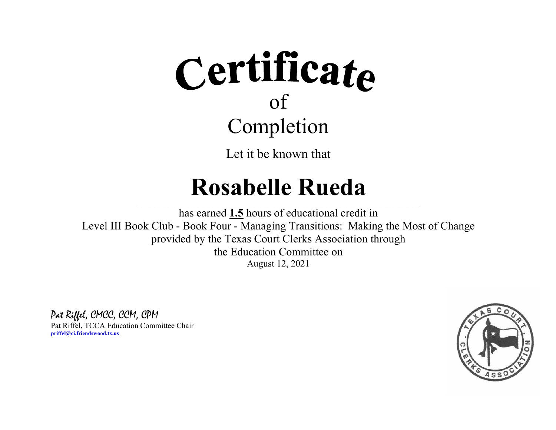

#### **Rosabelle Rueda**

 $\_$  , and the state of the state of the state of the state of the state of the state of the state of the state of the state of the state of the state of the state of the state of the state of the state of the state of the

has earned **1.5** hours of educational credit in Level III Book Club - Book Four - Managing Transitions: Making the Most of Change provided by the Texas Court Clerks Association through the Education Committee on August 12, 2021